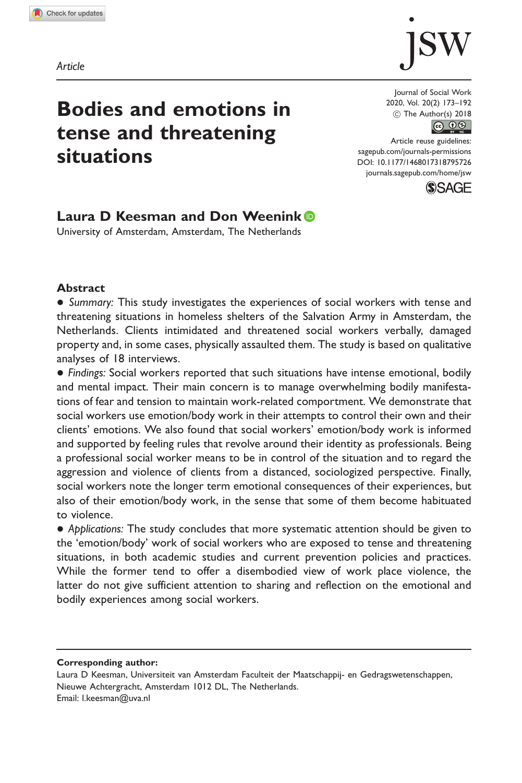Article

# Bodies and emotions in tense and threatening situations

Journal of Social Work 2020, Vol. 20(2) 173–192  $\circ$  The Author(s) 2018  $\boxed{6}$  0  $\circledast$ 

Article reuse guidelines: [sagepub.com/journals-permissions](http://uk.sagepub.com/en-gb/journals-permissions) [DOI: 10.1177/1468017318795726](http://dx.doi.org/10.1177/1468017318795726) <journals.sagepub.com/home/jsw>



# Laura D Keesman and Don Weenink

University of Amsterdam, Amsterdam, The Netherlands

# Abstract

• Summary: This study investigates the experiences of social workers with tense and threatening situations in homeless shelters of the Salvation Army in Amsterdam, the Netherlands. Clients intimidated and threatened social workers verbally, damaged property and, in some cases, physically assaulted them. The study is based on qualitative analyses of 18 interviews.

 Findings: Social workers reported that such situations have intense emotional, bodily and mental impact. Their main concern is to manage overwhelming bodily manifestations of fear and tension to maintain work-related comportment. We demonstrate that social workers use emotion/body work in their attempts to control their own and their clients' emotions. We also found that social workers' emotion/body work is informed and supported by feeling rules that revolve around their identity as professionals. Being a professional social worker means to be in control of the situation and to regard the aggression and violence of clients from a distanced, sociologized perspective. Finally, social workers note the longer term emotional consequences of their experiences, but also of their emotion/body work, in the sense that some of them become habituated to violence.

 Applications: The study concludes that more systematic attention should be given to the 'emotion/body' work of social workers who are exposed to tense and threatening situations, in both academic studies and current prevention policies and practices. While the former tend to offer a disembodied view of work place violence, the latter do not give sufficient attention to sharing and reflection on the emotional and bodily experiences among social workers.

#### Corresponding author:

Laura D Keesman, Universiteit van Amsterdam Faculteit der Maatschappij- en Gedragswetenschappen, Nieuwe Achtergracht, Amsterdam 1012 DL, The Netherlands. Email: [l.keesman@uva.nl](mailto:l.keesman@uva.nl)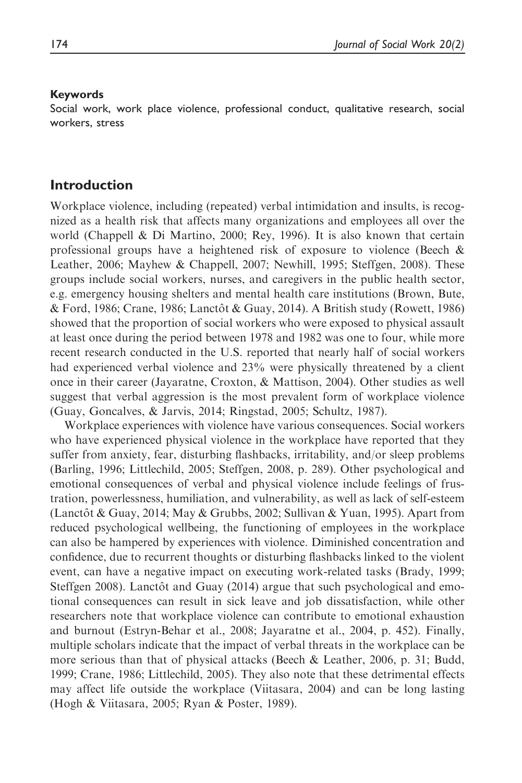#### Keywords

Social work, work place violence, professional conduct, qualitative research, social workers, stress

#### Introduction

Workplace violence, including (repeated) verbal intimidation and insults, is recognized as a health risk that affects many organizations and employees all over the world (Chappell & Di Martino, 2000; Rey, 1996). It is also known that certain professional groups have a heightened risk of exposure to violence (Beech & Leather, 2006; Mayhew & Chappell, 2007; Newhill, 1995; Steffgen, 2008). These groups include social workers, nurses, and caregivers in the public health sector, e.g. emergency housing shelters and mental health care institutions (Brown, Bute,  $&$  Ford, 1986; Crane, 1986; Lanctôt  $&$  Guay, 2014). A British study (Rowett, 1986) showed that the proportion of social workers who were exposed to physical assault at least once during the period between 1978 and 1982 was one to four, while more recent research conducted in the U.S. reported that nearly half of social workers had experienced verbal violence and 23% were physically threatened by a client once in their career (Jayaratne, Croxton, & Mattison, 2004). Other studies as well suggest that verbal aggression is the most prevalent form of workplace violence (Guay, Goncalves, & Jarvis, 2014; Ringstad, 2005; Schultz, 1987).

Workplace experiences with violence have various consequences. Social workers who have experienced physical violence in the workplace have reported that they suffer from anxiety, fear, disturbing flashbacks, irritability, and/or sleep problems (Barling, 1996; Littlechild, 2005; Steffgen, 2008, p. 289). Other psychological and emotional consequences of verbal and physical violence include feelings of frustration, powerlessness, humiliation, and vulnerability, as well as lack of self-esteem (Lanctôt & Guay, 2014; May & Grubbs, 2002; Sullivan & Yuan, 1995). Apart from reduced psychological wellbeing, the functioning of employees in the workplace can also be hampered by experiences with violence. Diminished concentration and confidence, due to recurrent thoughts or disturbing flashbacks linked to the violent event, can have a negative impact on executing work-related tasks (Brady, 1999; Steffgen 2008). Lanctôt and Guay (2014) argue that such psychological and emotional consequences can result in sick leave and job dissatisfaction, while other researchers note that workplace violence can contribute to emotional exhaustion and burnout (Estryn-Behar et al., 2008; Jayaratne et al., 2004, p. 452). Finally, multiple scholars indicate that the impact of verbal threats in the workplace can be more serious than that of physical attacks (Beech & Leather, 2006, p. 31; Budd, 1999; Crane, 1986; Littlechild, 2005). They also note that these detrimental effects may affect life outside the workplace (Viitasara, 2004) and can be long lasting (Hogh & Viitasara, 2005; Ryan & Poster, 1989).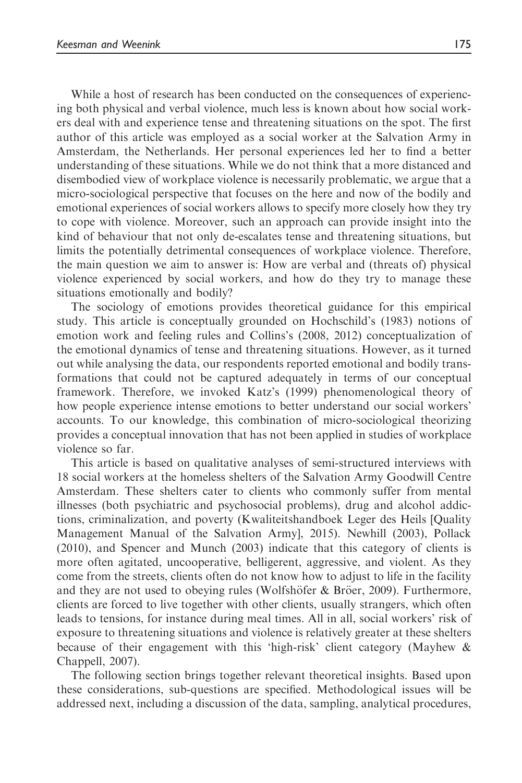While a host of research has been conducted on the consequences of experiencing both physical and verbal violence, much less is known about how social workers deal with and experience tense and threatening situations on the spot. The first author of this article was employed as a social worker at the Salvation Army in Amsterdam, the Netherlands. Her personal experiences led her to find a better understanding of these situations. While we do not think that a more distanced and disembodied view of workplace violence is necessarily problematic, we argue that a micro-sociological perspective that focuses on the here and now of the bodily and emotional experiences of social workers allows to specify more closely how they try to cope with violence. Moreover, such an approach can provide insight into the kind of behaviour that not only de-escalates tense and threatening situations, but limits the potentially detrimental consequences of workplace violence. Therefore, the main question we aim to answer is: How are verbal and (threats of) physical violence experienced by social workers, and how do they try to manage these situations emotionally and bodily?

The sociology of emotions provides theoretical guidance for this empirical study. This article is conceptually grounded on Hochschild's (1983) notions of emotion work and feeling rules and Collins's (2008, 2012) conceptualization of the emotional dynamics of tense and threatening situations. However, as it turned out while analysing the data, our respondents reported emotional and bodily transformations that could not be captured adequately in terms of our conceptual framework. Therefore, we invoked Katz's (1999) phenomenological theory of how people experience intense emotions to better understand our social workers' accounts. To our knowledge, this combination of micro-sociological theorizing provides a conceptual innovation that has not been applied in studies of workplace violence so far.

This article is based on qualitative analyses of semi-structured interviews with 18 social workers at the homeless shelters of the Salvation Army Goodwill Centre Amsterdam. These shelters cater to clients who commonly suffer from mental illnesses (both psychiatric and psychosocial problems), drug and alcohol addictions, criminalization, and poverty (Kwaliteitshandboek Leger des Heils [Quality Management Manual of the Salvation Army], 2015). Newhill (2003), Pollack (2010), and Spencer and Munch (2003) indicate that this category of clients is more often agitated, uncooperative, belligerent, aggressive, and violent. As they come from the streets, clients often do not know how to adjust to life in the facility and they are not used to obeying rules (Wolfshöfer  $&$  Bröer, 2009). Furthermore, clients are forced to live together with other clients, usually strangers, which often leads to tensions, for instance during meal times. All in all, social workers' risk of exposure to threatening situations and violence is relatively greater at these shelters because of their engagement with this 'high-risk' client category (Mayhew & Chappell, 2007).

The following section brings together relevant theoretical insights. Based upon these considerations, sub-questions are specified. Methodological issues will be addressed next, including a discussion of the data, sampling, analytical procedures,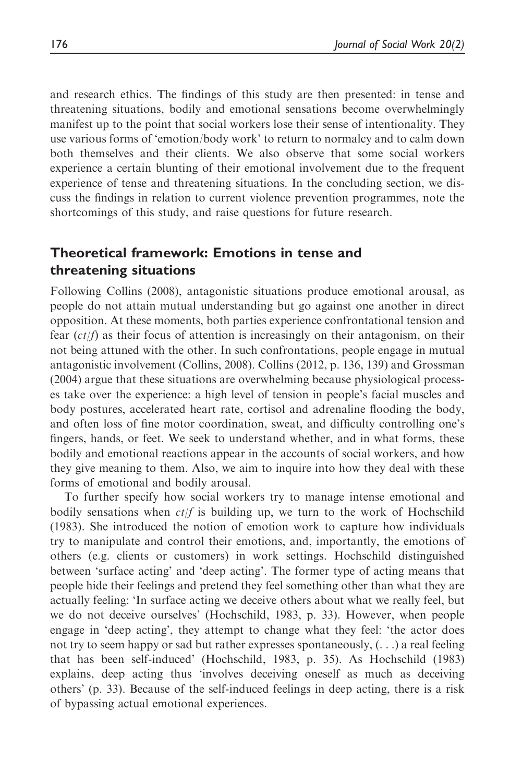and research ethics. The findings of this study are then presented: in tense and threatening situations, bodily and emotional sensations become overwhelmingly manifest up to the point that social workers lose their sense of intentionality. They use various forms of 'emotion/body work' to return to normalcy and to calm down both themselves and their clients. We also observe that some social workers experience a certain blunting of their emotional involvement due to the frequent experience of tense and threatening situations. In the concluding section, we discuss the findings in relation to current violence prevention programmes, note the shortcomings of this study, and raise questions for future research.

# Theoretical framework: Emotions in tense and threatening situations

Following Collins (2008), antagonistic situations produce emotional arousal, as people do not attain mutual understanding but go against one another in direct opposition. At these moments, both parties experience confrontational tension and fear  $(ct/f)$  as their focus of attention is increasingly on their antagonism, on their not being attuned with the other. In such confrontations, people engage in mutual antagonistic involvement (Collins, 2008). Collins (2012, p. 136, 139) and Grossman (2004) argue that these situations are overwhelming because physiological processes take over the experience: a high level of tension in people's facial muscles and body postures, accelerated heart rate, cortisol and adrenaline flooding the body, and often loss of fine motor coordination, sweat, and difficulty controlling one's fingers, hands, or feet. We seek to understand whether, and in what forms, these bodily and emotional reactions appear in the accounts of social workers, and how they give meaning to them. Also, we aim to inquire into how they deal with these forms of emotional and bodily arousal.

To further specify how social workers try to manage intense emotional and bodily sensations when  $ct/f$  is building up, we turn to the work of Hochschild (1983). She introduced the notion of emotion work to capture how individuals try to manipulate and control their emotions, and, importantly, the emotions of others (e.g. clients or customers) in work settings. Hochschild distinguished between 'surface acting' and 'deep acting'. The former type of acting means that people hide their feelings and pretend they feel something other than what they are actually feeling: 'In surface acting we deceive others about what we really feel, but we do not deceive ourselves' (Hochschild, 1983, p. 33). However, when people engage in 'deep acting', they attempt to change what they feel: 'the actor does not try to seem happy or sad but rather expresses spontaneously, (. . .) a real feeling that has been self-induced' (Hochschild, 1983, p. 35). As Hochschild (1983) explains, deep acting thus 'involves deceiving oneself as much as deceiving others' (p. 33). Because of the self-induced feelings in deep acting, there is a risk of bypassing actual emotional experiences.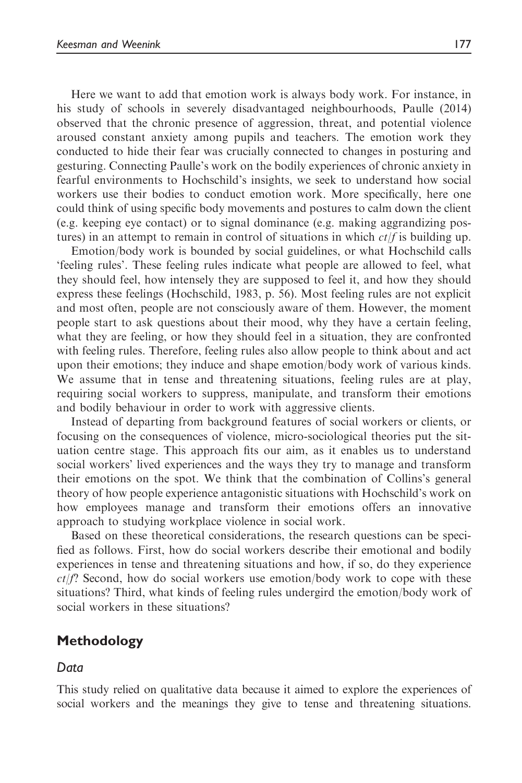Here we want to add that emotion work is always body work. For instance, in his study of schools in severely disadvantaged neighbourhoods, Paulle (2014) observed that the chronic presence of aggression, threat, and potential violence aroused constant anxiety among pupils and teachers. The emotion work they conducted to hide their fear was crucially connected to changes in posturing and gesturing. Connecting Paulle's work on the bodily experiences of chronic anxiety in fearful environments to Hochschild's insights, we seek to understand how social workers use their bodies to conduct emotion work. More specifically, here one could think of using specific body movements and postures to calm down the client (e.g. keeping eye contact) or to signal dominance (e.g. making aggrandizing postures) in an attempt to remain in control of situations in which  $ct/f$  is building up.

Emotion/body work is bounded by social guidelines, or what Hochschild calls 'feeling rules'. These feeling rules indicate what people are allowed to feel, what they should feel, how intensely they are supposed to feel it, and how they should express these feelings (Hochschild, 1983, p. 56). Most feeling rules are not explicit and most often, people are not consciously aware of them. However, the moment people start to ask questions about their mood, why they have a certain feeling, what they are feeling, or how they should feel in a situation, they are confronted with feeling rules. Therefore, feeling rules also allow people to think about and act upon their emotions; they induce and shape emotion/body work of various kinds. We assume that in tense and threatening situations, feeling rules are at play, requiring social workers to suppress, manipulate, and transform their emotions and bodily behaviour in order to work with aggressive clients.

Instead of departing from background features of social workers or clients, or focusing on the consequences of violence, micro-sociological theories put the situation centre stage. This approach fits our aim, as it enables us to understand social workers' lived experiences and the ways they try to manage and transform their emotions on the spot. We think that the combination of Collins's general theory of how people experience antagonistic situations with Hochschild's work on how employees manage and transform their emotions offers an innovative approach to studying workplace violence in social work.

Based on these theoretical considerations, the research questions can be specified as follows. First, how do social workers describe their emotional and bodily experiences in tense and threatening situations and how, if so, do they experience  $ct/f$ ? Second, how do social workers use emotion/body work to cope with these situations? Third, what kinds of feeling rules undergird the emotion/body work of social workers in these situations?

# Methodology

#### Data

This study relied on qualitative data because it aimed to explore the experiences of social workers and the meanings they give to tense and threatening situations.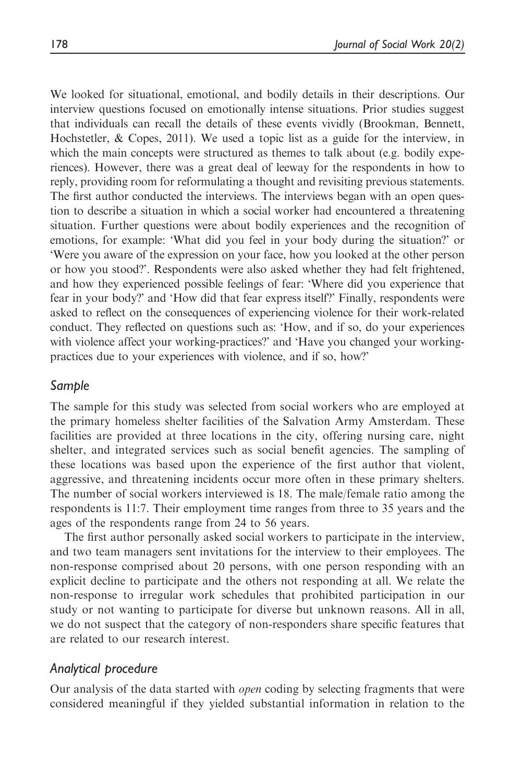We looked for situational, emotional, and bodily details in their descriptions. Our interview questions focused on emotionally intense situations. Prior studies suggest that individuals can recall the details of these events vividly (Brookman, Bennett, Hochstetler, & Copes, 2011). We used a topic list as a guide for the interview, in which the main concepts were structured as themes to talk about (e.g. bodily experiences). However, there was a great deal of leeway for the respondents in how to reply, providing room for reformulating a thought and revisiting previous statements. The first author conducted the interviews. The interviews began with an open question to describe a situation in which a social worker had encountered a threatening situation. Further questions were about bodily experiences and the recognition of emotions, for example: 'What did you feel in your body during the situation?' or 'Were you aware of the expression on your face, how you looked at the other person or how you stood?'. Respondents were also asked whether they had felt frightened, and how they experienced possible feelings of fear: 'Where did you experience that fear in your body?' and 'How did that fear express itself?' Finally, respondents were asked to reflect on the consequences of experiencing violence for their work-related conduct. They reflected on questions such as: 'How, and if so, do your experiences with violence affect your working-practices?' and 'Have you changed your workingpractices due to your experiences with violence, and if so, how?'

# Sample

The sample for this study was selected from social workers who are employed at the primary homeless shelter facilities of the Salvation Army Amsterdam. These facilities are provided at three locations in the city, offering nursing care, night shelter, and integrated services such as social benefit agencies. The sampling of these locations was based upon the experience of the first author that violent, aggressive, and threatening incidents occur more often in these primary shelters. The number of social workers interviewed is 18. The male/female ratio among the respondents is 11:7. Their employment time ranges from three to 35 years and the ages of the respondents range from 24 to 56 years.

The first author personally asked social workers to participate in the interview, and two team managers sent invitations for the interview to their employees. The non-response comprised about 20 persons, with one person responding with an explicit decline to participate and the others not responding at all. We relate the non-response to irregular work schedules that prohibited participation in our study or not wanting to participate for diverse but unknown reasons. All in all, we do not suspect that the category of non-responders share specific features that are related to our research interest.

# Analytical procedure

Our analysis of the data started with *open* coding by selecting fragments that were considered meaningful if they yielded substantial information in relation to the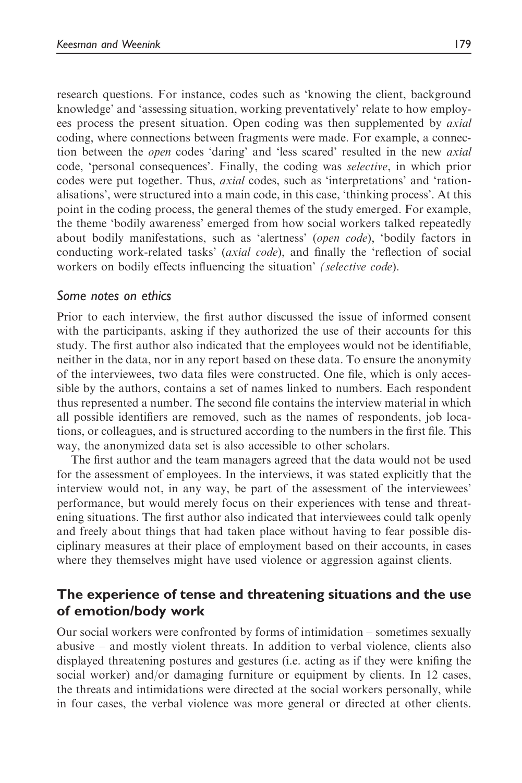research questions. For instance, codes such as 'knowing the client, background knowledge' and 'assessing situation, working preventatively' relate to how employees process the present situation. Open coding was then supplemented by axial coding, where connections between fragments were made. For example, a connection between the *open* codes 'daring' and 'less scared' resulted in the new *axial* code, 'personal consequences'. Finally, the coding was selective, in which prior codes were put together. Thus, *axial* codes, such as 'interpretations' and 'rationalisations', were structured into a main code, in this case, 'thinking process'. At this point in the coding process, the general themes of the study emerged. For example, the theme 'bodily awareness' emerged from how social workers talked repeatedly about bodily manifestations, such as 'alertness' (open code), 'bodily factors in conducting work-related tasks' (axial code), and finally the 'reflection of social workers on bodily effects influencing the situation' *(selective code)*.

# Some notes on ethics

Prior to each interview, the first author discussed the issue of informed consent with the participants, asking if they authorized the use of their accounts for this study. The first author also indicated that the employees would not be identifiable, neither in the data, nor in any report based on these data. To ensure the anonymity of the interviewees, two data files were constructed. One file, which is only accessible by the authors, contains a set of names linked to numbers. Each respondent thus represented a number. The second file contains the interview material in which all possible identifiers are removed, such as the names of respondents, job locations, or colleagues, and is structured according to the numbers in the first file. This way, the anonymized data set is also accessible to other scholars.

The first author and the team managers agreed that the data would not be used for the assessment of employees. In the interviews, it was stated explicitly that the interview would not, in any way, be part of the assessment of the interviewees' performance, but would merely focus on their experiences with tense and threatening situations. The first author also indicated that interviewees could talk openly and freely about things that had taken place without having to fear possible disciplinary measures at their place of employment based on their accounts, in cases where they themselves might have used violence or aggression against clients.

# The experience of tense and threatening situations and the use of emotion/body work

Our social workers were confronted by forms of intimidation – sometimes sexually abusive – and mostly violent threats. In addition to verbal violence, clients also displayed threatening postures and gestures (i.e. acting as if they were knifing the social worker) and/or damaging furniture or equipment by clients. In 12 cases, the threats and intimidations were directed at the social workers personally, while in four cases, the verbal violence was more general or directed at other clients.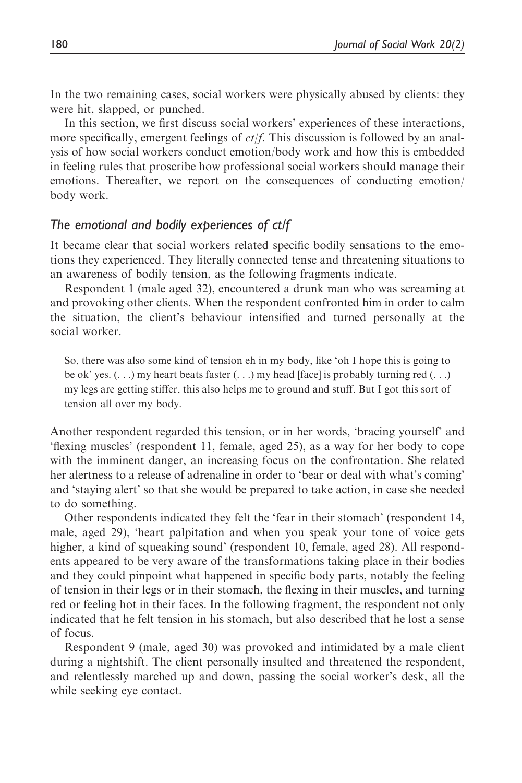In the two remaining cases, social workers were physically abused by clients: they were hit, slapped, or punched.

In this section, we first discuss social workers' experiences of these interactions, more specifically, emergent feelings of  $ct/f$ . This discussion is followed by an analysis of how social workers conduct emotion/body work and how this is embedded in feeling rules that proscribe how professional social workers should manage their emotions. Thereafter, we report on the consequences of conducting emotion/ body work.

# The emotional and bodily experiences of ct/f

It became clear that social workers related specific bodily sensations to the emotions they experienced. They literally connected tense and threatening situations to an awareness of bodily tension, as the following fragments indicate.

Respondent 1 (male aged 32), encountered a drunk man who was screaming at and provoking other clients. When the respondent confronted him in order to calm the situation, the client's behaviour intensified and turned personally at the social worker.

So, there was also some kind of tension eh in my body, like 'oh I hope this is going to be ok' yes.  $(\ldots)$  my heart beats faster  $(\ldots)$  my head [face] is probably turning red  $(\ldots)$ my legs are getting stiffer, this also helps me to ground and stuff. But I got this sort of tension all over my body.

Another respondent regarded this tension, or in her words, 'bracing yourself' and 'flexing muscles' (respondent 11, female, aged 25), as a way for her body to cope with the imminent danger, an increasing focus on the confrontation. She related her alertness to a release of adrenaline in order to 'bear or deal with what's coming' and 'staying alert' so that she would be prepared to take action, in case she needed to do something.

Other respondents indicated they felt the 'fear in their stomach' (respondent 14, male, aged 29), 'heart palpitation and when you speak your tone of voice gets higher, a kind of squeaking sound' (respondent 10, female, aged 28). All respondents appeared to be very aware of the transformations taking place in their bodies and they could pinpoint what happened in specific body parts, notably the feeling of tension in their legs or in their stomach, the flexing in their muscles, and turning red or feeling hot in their faces. In the following fragment, the respondent not only indicated that he felt tension in his stomach, but also described that he lost a sense of focus.

Respondent 9 (male, aged 30) was provoked and intimidated by a male client during a nightshift. The client personally insulted and threatened the respondent, and relentlessly marched up and down, passing the social worker's desk, all the while seeking eye contact.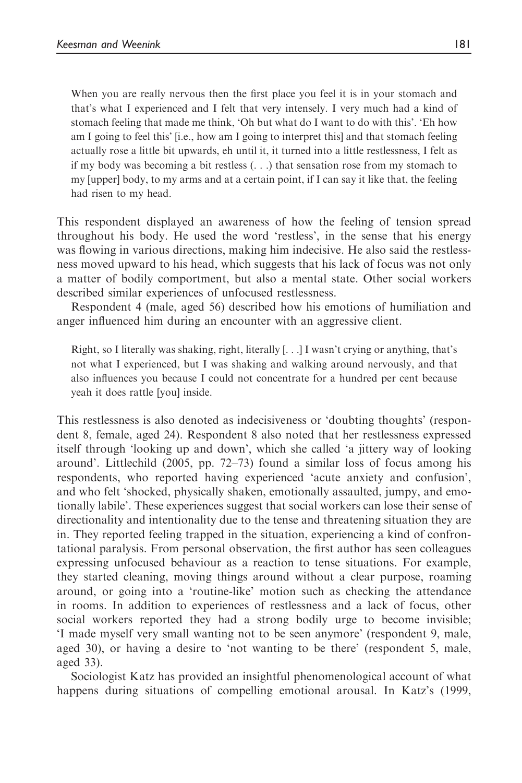When you are really nervous then the first place you feel it is in your stomach and that's what I experienced and I felt that very intensely. I very much had a kind of stomach feeling that made me think, 'Oh but what do I want to do with this'. 'Eh how am I going to feel this' [i.e., how am I going to interpret this] and that stomach feeling actually rose a little bit upwards, eh until it, it turned into a little restlessness, I felt as if my body was becoming a bit restless (. . .) that sensation rose from my stomach to my [upper] body, to my arms and at a certain point, if I can say it like that, the feeling had risen to my head.

This respondent displayed an awareness of how the feeling of tension spread throughout his body. He used the word 'restless', in the sense that his energy was flowing in various directions, making him indecisive. He also said the restlessness moved upward to his head, which suggests that his lack of focus was not only a matter of bodily comportment, but also a mental state. Other social workers described similar experiences of unfocused restlessness.

Respondent 4 (male, aged 56) described how his emotions of humiliation and anger influenced him during an encounter with an aggressive client.

Right, so I literally was shaking, right, literally [. . .] I wasn't crying or anything, that's not what I experienced, but I was shaking and walking around nervously, and that also influences you because I could not concentrate for a hundred per cent because yeah it does rattle [you] inside.

This restlessness is also denoted as indecisiveness or 'doubting thoughts' (respondent 8, female, aged 24). Respondent 8 also noted that her restlessness expressed itself through 'looking up and down', which she called 'a jittery way of looking around'. Littlechild (2005, pp. 72–73) found a similar loss of focus among his respondents, who reported having experienced 'acute anxiety and confusion', and who felt 'shocked, physically shaken, emotionally assaulted, jumpy, and emotionally labile'. These experiences suggest that social workers can lose their sense of directionality and intentionality due to the tense and threatening situation they are in. They reported feeling trapped in the situation, experiencing a kind of confrontational paralysis. From personal observation, the first author has seen colleagues expressing unfocused behaviour as a reaction to tense situations. For example, they started cleaning, moving things around without a clear purpose, roaming around, or going into a 'routine-like' motion such as checking the attendance in rooms. In addition to experiences of restlessness and a lack of focus, other social workers reported they had a strong bodily urge to become invisible; 'I made myself very small wanting not to be seen anymore' (respondent 9, male, aged 30), or having a desire to 'not wanting to be there' (respondent 5, male, aged 33).

Sociologist Katz has provided an insightful phenomenological account of what happens during situations of compelling emotional arousal. In Katz's (1999,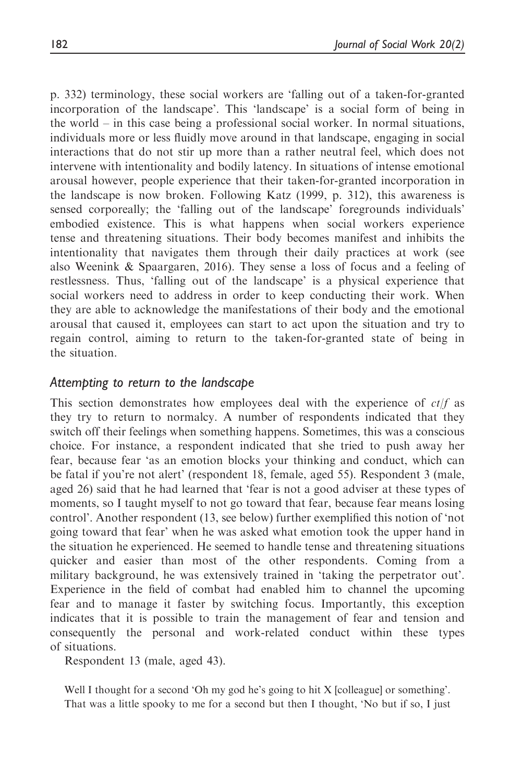p. 332) terminology, these social workers are 'falling out of a taken-for-granted incorporation of the landscape'. This 'landscape' is a social form of being in the world – in this case being a professional social worker. In normal situations, individuals more or less fluidly move around in that landscape, engaging in social interactions that do not stir up more than a rather neutral feel, which does not intervene with intentionality and bodily latency. In situations of intense emotional arousal however, people experience that their taken-for-granted incorporation in the landscape is now broken. Following Katz (1999, p. 312), this awareness is sensed corporeally; the 'falling out of the landscape' foregrounds individuals' embodied existence. This is what happens when social workers experience tense and threatening situations. Their body becomes manifest and inhibits the intentionality that navigates them through their daily practices at work (see also Weenink & Spaargaren, 2016). They sense a loss of focus and a feeling of restlessness. Thus, 'falling out of the landscape' is a physical experience that social workers need to address in order to keep conducting their work. When they are able to acknowledge the manifestations of their body and the emotional arousal that caused it, employees can start to act upon the situation and try to regain control, aiming to return to the taken-for-granted state of being in the situation.

# Attempting to return to the landscape

This section demonstrates how employees deal with the experience of  $ct/f$  as they try to return to normalcy. A number of respondents indicated that they switch off their feelings when something happens. Sometimes, this was a conscious choice. For instance, a respondent indicated that she tried to push away her fear, because fear 'as an emotion blocks your thinking and conduct, which can be fatal if you're not alert' (respondent 18, female, aged 55). Respondent 3 (male, aged 26) said that he had learned that 'fear is not a good adviser at these types of moments, so I taught myself to not go toward that fear, because fear means losing control'. Another respondent (13, see below) further exemplified this notion of 'not going toward that fear' when he was asked what emotion took the upper hand in the situation he experienced. He seemed to handle tense and threatening situations quicker and easier than most of the other respondents. Coming from a military background, he was extensively trained in 'taking the perpetrator out'. Experience in the field of combat had enabled him to channel the upcoming fear and to manage it faster by switching focus. Importantly, this exception indicates that it is possible to train the management of fear and tension and consequently the personal and work-related conduct within these types of situations.

Respondent 13 (male, aged 43).

Well I thought for a second 'Oh my god he's going to hit X [colleague] or something'. That was a little spooky to me for a second but then I thought, 'No but if so, I just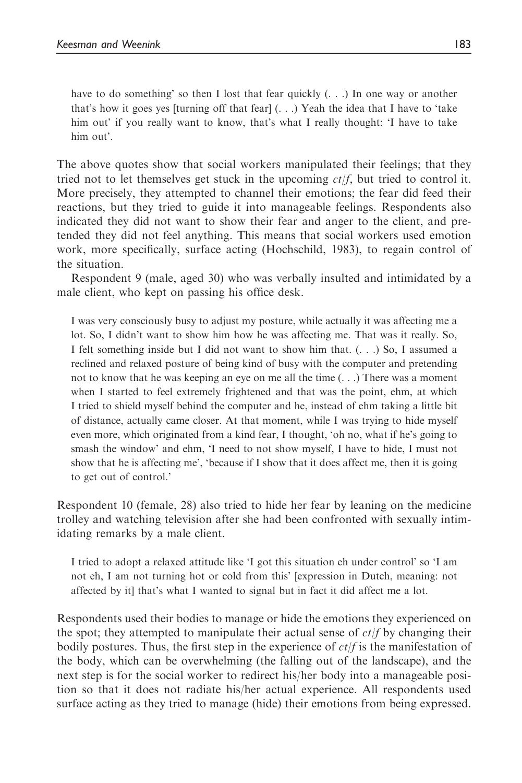have to do something' so then I lost that fear quickly  $(\ldots)$  In one way or another that's how it goes yes [turning off that fear]  $( \ldots )$  Yeah the idea that I have to 'take him out' if you really want to know, that's what I really thought: 'I have to take him out'.

The above quotes show that social workers manipulated their feelings; that they tried not to let themselves get stuck in the upcoming  $ct/f$ , but tried to control it. More precisely, they attempted to channel their emotions; the fear did feed their reactions, but they tried to guide it into manageable feelings. Respondents also indicated they did not want to show their fear and anger to the client, and pretended they did not feel anything. This means that social workers used emotion work, more specifically, surface acting (Hochschild, 1983), to regain control of the situation.

Respondent 9 (male, aged 30) who was verbally insulted and intimidated by a male client, who kept on passing his office desk.

I was very consciously busy to adjust my posture, while actually it was affecting me a lot. So, I didn't want to show him how he was affecting me. That was it really. So, I felt something inside but I did not want to show him that. (. . .) So, I assumed a reclined and relaxed posture of being kind of busy with the computer and pretending not to know that he was keeping an eye on me all the time (. . .) There was a moment when I started to feel extremely frightened and that was the point, ehm, at which I tried to shield myself behind the computer and he, instead of ehm taking a little bit of distance, actually came closer. At that moment, while I was trying to hide myself even more, which originated from a kind fear, I thought, 'oh no, what if he's going to smash the window' and ehm, 'I need to not show myself, I have to hide, I must not show that he is affecting me', 'because if I show that it does affect me, then it is going to get out of control.'

Respondent 10 (female, 28) also tried to hide her fear by leaning on the medicine trolley and watching television after she had been confronted with sexually intimidating remarks by a male client.

I tried to adopt a relaxed attitude like 'I got this situation eh under control' so 'I am not eh, I am not turning hot or cold from this' [expression in Dutch, meaning: not affected by it] that's what I wanted to signal but in fact it did affect me a lot.

Respondents used their bodies to manage or hide the emotions they experienced on the spot; they attempted to manipulate their actual sense of  $ct/f$  by changing their bodily postures. Thus, the first step in the experience of  $ct/f$  is the manifestation of the body, which can be overwhelming (the falling out of the landscape), and the next step is for the social worker to redirect his/her body into a manageable position so that it does not radiate his/her actual experience. All respondents used surface acting as they tried to manage (hide) their emotions from being expressed.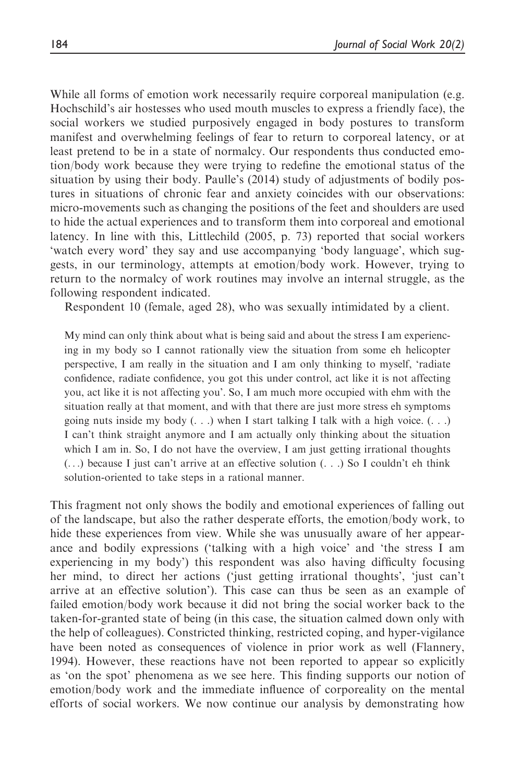While all forms of emotion work necessarily require corporeal manipulation (e.g. Hochschild's air hostesses who used mouth muscles to express a friendly face), the social workers we studied purposively engaged in body postures to transform manifest and overwhelming feelings of fear to return to corporeal latency, or at least pretend to be in a state of normalcy. Our respondents thus conducted emotion/body work because they were trying to redefine the emotional status of the situation by using their body. Paulle's (2014) study of adjustments of bodily postures in situations of chronic fear and anxiety coincides with our observations: micro-movements such as changing the positions of the feet and shoulders are used to hide the actual experiences and to transform them into corporeal and emotional latency. In line with this, Littlechild (2005, p. 73) reported that social workers 'watch every word' they say and use accompanying 'body language', which suggests, in our terminology, attempts at emotion/body work. However, trying to return to the normalcy of work routines may involve an internal struggle, as the following respondent indicated.

Respondent 10 (female, aged 28), who was sexually intimidated by a client.

My mind can only think about what is being said and about the stress I am experiencing in my body so I cannot rationally view the situation from some eh helicopter perspective, I am really in the situation and I am only thinking to myself, 'radiate confidence, radiate confidence, you got this under control, act like it is not affecting you, act like it is not affecting you'. So, I am much more occupied with ehm with the situation really at that moment, and with that there are just more stress eh symptoms going nuts inside my body  $( \ldots )$  when I start talking I talk with a high voice.  $( \ldots )$ I can't think straight anymore and I am actually only thinking about the situation which I am in. So, I do not have the overview, I am just getting irrational thoughts (...) because I just can't arrive at an effective solution (. . .) So I couldn't eh think solution-oriented to take steps in a rational manner.

This fragment not only shows the bodily and emotional experiences of falling out of the landscape, but also the rather desperate efforts, the emotion/body work, to hide these experiences from view. While she was unusually aware of her appearance and bodily expressions ('talking with a high voice' and 'the stress I am experiencing in my body') this respondent was also having difficulty focusing her mind, to direct her actions ('just getting irrational thoughts', 'just can't arrive at an effective solution'). This case can thus be seen as an example of failed emotion/body work because it did not bring the social worker back to the taken-for-granted state of being (in this case, the situation calmed down only with the help of colleagues). Constricted thinking, restricted coping, and hyper-vigilance have been noted as consequences of violence in prior work as well (Flannery, 1994). However, these reactions have not been reported to appear so explicitly as 'on the spot' phenomena as we see here. This finding supports our notion of emotion/body work and the immediate influence of corporeality on the mental efforts of social workers. We now continue our analysis by demonstrating how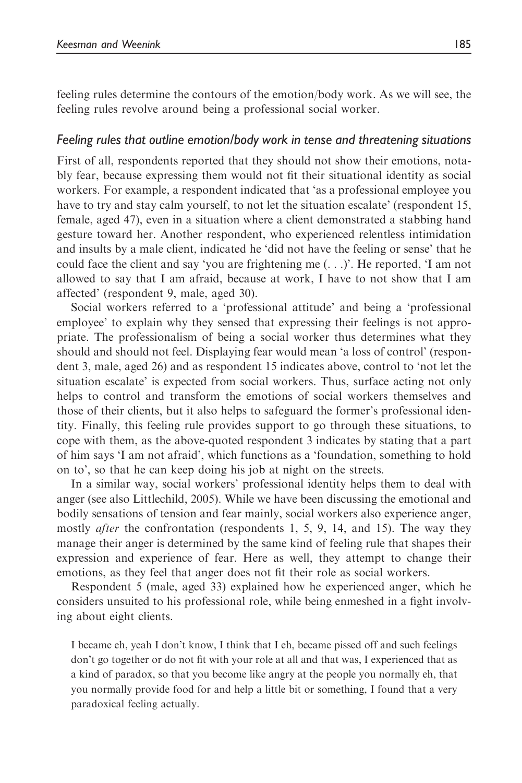feeling rules determine the contours of the emotion/body work. As we will see, the feeling rules revolve around being a professional social worker.

#### Feeling rules that outline emotion/body work in tense and threatening situations

First of all, respondents reported that they should not show their emotions, notably fear, because expressing them would not fit their situational identity as social workers. For example, a respondent indicated that 'as a professional employee you have to try and stay calm yourself, to not let the situation escalate' (respondent 15, female, aged 47), even in a situation where a client demonstrated a stabbing hand gesture toward her. Another respondent, who experienced relentless intimidation and insults by a male client, indicated he 'did not have the feeling or sense' that he could face the client and say 'you are frightening me  $(\ldots)$ '. He reported, 'I am not allowed to say that I am afraid, because at work, I have to not show that I am affected' (respondent 9, male, aged 30).

Social workers referred to a 'professional attitude' and being a 'professional employee' to explain why they sensed that expressing their feelings is not appropriate. The professionalism of being a social worker thus determines what they should and should not feel. Displaying fear would mean 'a loss of control' (respondent 3, male, aged 26) and as respondent 15 indicates above, control to 'not let the situation escalate' is expected from social workers. Thus, surface acting not only helps to control and transform the emotions of social workers themselves and those of their clients, but it also helps to safeguard the former's professional identity. Finally, this feeling rule provides support to go through these situations, to cope with them, as the above-quoted respondent 3 indicates by stating that a part of him says 'I am not afraid', which functions as a 'foundation, something to hold on to', so that he can keep doing his job at night on the streets.

In a similar way, social workers' professional identity helps them to deal with anger (see also Littlechild, 2005). While we have been discussing the emotional and bodily sensations of tension and fear mainly, social workers also experience anger, mostly *after* the confrontation (respondents 1, 5, 9, 14, and 15). The way they manage their anger is determined by the same kind of feeling rule that shapes their expression and experience of fear. Here as well, they attempt to change their emotions, as they feel that anger does not fit their role as social workers.

Respondent 5 (male, aged 33) explained how he experienced anger, which he considers unsuited to his professional role, while being enmeshed in a fight involving about eight clients.

I became eh, yeah I don't know, I think that I eh, became pissed off and such feelings don't go together or do not fit with your role at all and that was, I experienced that as a kind of paradox, so that you become like angry at the people you normally eh, that you normally provide food for and help a little bit or something, I found that a very paradoxical feeling actually.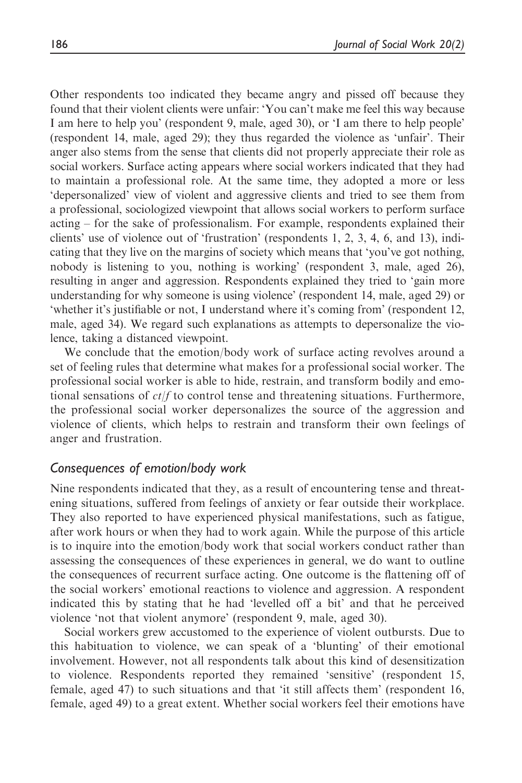Other respondents too indicated they became angry and pissed off because they found that their violent clients were unfair: 'You can't make me feel this way because I am here to help you' (respondent 9, male, aged 30), or 'I am there to help people' (respondent 14, male, aged 29); they thus regarded the violence as 'unfair'. Their anger also stems from the sense that clients did not properly appreciate their role as social workers. Surface acting appears where social workers indicated that they had to maintain a professional role. At the same time, they adopted a more or less 'depersonalized' view of violent and aggressive clients and tried to see them from a professional, sociologized viewpoint that allows social workers to perform surface acting – for the sake of professionalism. For example, respondents explained their clients' use of violence out of 'frustration' (respondents 1, 2, 3, 4, 6, and 13), indicating that they live on the margins of society which means that 'you've got nothing, nobody is listening to you, nothing is working' (respondent 3, male, aged 26), resulting in anger and aggression. Respondents explained they tried to 'gain more understanding for why someone is using violence' (respondent 14, male, aged 29) or 'whether it's justifiable or not, I understand where it's coming from' (respondent 12, male, aged 34). We regard such explanations as attempts to depersonalize the violence, taking a distanced viewpoint.

We conclude that the emotion/body work of surface acting revolves around a set of feeling rules that determine what makes for a professional social worker. The professional social worker is able to hide, restrain, and transform bodily and emotional sensations of  $ct/f$  to control tense and threatening situations. Furthermore, the professional social worker depersonalizes the source of the aggression and violence of clients, which helps to restrain and transform their own feelings of anger and frustration.

# Consequences of emotion/body work

Nine respondents indicated that they, as a result of encountering tense and threatening situations, suffered from feelings of anxiety or fear outside their workplace. They also reported to have experienced physical manifestations, such as fatigue, after work hours or when they had to work again. While the purpose of this article is to inquire into the emotion/body work that social workers conduct rather than assessing the consequences of these experiences in general, we do want to outline the consequences of recurrent surface acting. One outcome is the flattening off of the social workers' emotional reactions to violence and aggression. A respondent indicated this by stating that he had 'levelled off a bit' and that he perceived violence 'not that violent anymore' (respondent 9, male, aged 30).

Social workers grew accustomed to the experience of violent outbursts. Due to this habituation to violence, we can speak of a 'blunting' of their emotional involvement. However, not all respondents talk about this kind of desensitization to violence. Respondents reported they remained 'sensitive' (respondent 15, female, aged 47) to such situations and that 'it still affects them' (respondent 16, female, aged 49) to a great extent. Whether social workers feel their emotions have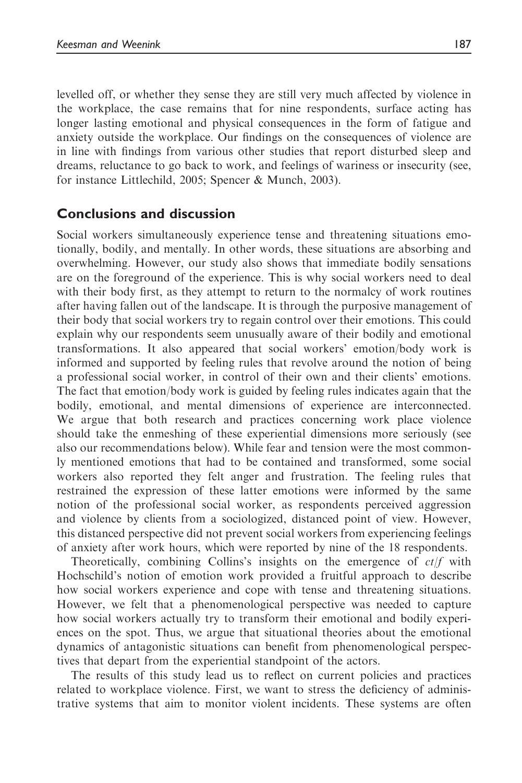levelled off, or whether they sense they are still very much affected by violence in the workplace, the case remains that for nine respondents, surface acting has longer lasting emotional and physical consequences in the form of fatigue and anxiety outside the workplace. Our findings on the consequences of violence are in line with findings from various other studies that report disturbed sleep and dreams, reluctance to go back to work, and feelings of wariness or insecurity (see, for instance Littlechild, 2005; Spencer & Munch, 2003).

# Conclusions and discussion

Social workers simultaneously experience tense and threatening situations emotionally, bodily, and mentally. In other words, these situations are absorbing and overwhelming. However, our study also shows that immediate bodily sensations are on the foreground of the experience. This is why social workers need to deal with their body first, as they attempt to return to the normalcy of work routines after having fallen out of the landscape. It is through the purposive management of their body that social workers try to regain control over their emotions. This could explain why our respondents seem unusually aware of their bodily and emotional transformations. It also appeared that social workers' emotion/body work is informed and supported by feeling rules that revolve around the notion of being a professional social worker, in control of their own and their clients' emotions. The fact that emotion/body work is guided by feeling rules indicates again that the bodily, emotional, and mental dimensions of experience are interconnected. We argue that both research and practices concerning work place violence should take the enmeshing of these experiential dimensions more seriously (see also our recommendations below). While fear and tension were the most commonly mentioned emotions that had to be contained and transformed, some social workers also reported they felt anger and frustration. The feeling rules that restrained the expression of these latter emotions were informed by the same notion of the professional social worker, as respondents perceived aggression and violence by clients from a sociologized, distanced point of view. However, this distanced perspective did not prevent social workers from experiencing feelings of anxiety after work hours, which were reported by nine of the 18 respondents.

Theoretically, combining Collins's insights on the emergence of  $ct/f$  with Hochschild's notion of emotion work provided a fruitful approach to describe how social workers experience and cope with tense and threatening situations. However, we felt that a phenomenological perspective was needed to capture how social workers actually try to transform their emotional and bodily experiences on the spot. Thus, we argue that situational theories about the emotional dynamics of antagonistic situations can benefit from phenomenological perspectives that depart from the experiential standpoint of the actors.

The results of this study lead us to reflect on current policies and practices related to workplace violence. First, we want to stress the deficiency of administrative systems that aim to monitor violent incidents. These systems are often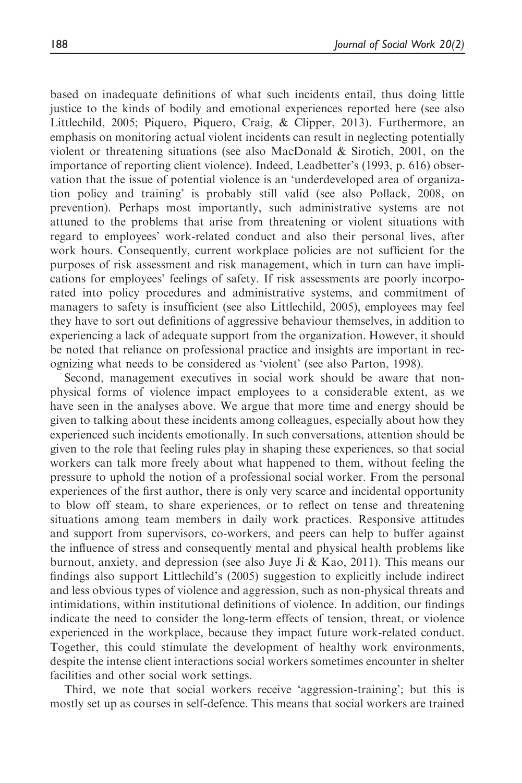based on inadequate definitions of what such incidents entail, thus doing little justice to the kinds of bodily and emotional experiences reported here (see also Littlechild, 2005; Piquero, Piquero, Craig, & Clipper, 2013). Furthermore, an emphasis on monitoring actual violent incidents can result in neglecting potentially violent or threatening situations (see also MacDonald & Sirotich, 2001, on the importance of reporting client violence). Indeed, Leadbetter's (1993, p. 616) observation that the issue of potential violence is an 'underdeveloped area of organization policy and training' is probably still valid (see also Pollack, 2008, on prevention). Perhaps most importantly, such administrative systems are not attuned to the problems that arise from threatening or violent situations with regard to employees' work-related conduct and also their personal lives, after work hours. Consequently, current workplace policies are not sufficient for the purposes of risk assessment and risk management, which in turn can have implications for employees' feelings of safety. If risk assessments are poorly incorporated into policy procedures and administrative systems, and commitment of managers to safety is insufficient (see also Littlechild, 2005), employees may feel they have to sort out definitions of aggressive behaviour themselves, in addition to experiencing a lack of adequate support from the organization. However, it should be noted that reliance on professional practice and insights are important in recognizing what needs to be considered as 'violent' (see also Parton, 1998).

Second, management executives in social work should be aware that nonphysical forms of violence impact employees to a considerable extent, as we have seen in the analyses above. We argue that more time and energy should be given to talking about these incidents among colleagues, especially about how they experienced such incidents emotionally. In such conversations, attention should be given to the role that feeling rules play in shaping these experiences, so that social workers can talk more freely about what happened to them, without feeling the pressure to uphold the notion of a professional social worker. From the personal experiences of the first author, there is only very scarce and incidental opportunity to blow off steam, to share experiences, or to reflect on tense and threatening situations among team members in daily work practices. Responsive attitudes and support from supervisors, co-workers, and peers can help to buffer against the influence of stress and consequently mental and physical health problems like burnout, anxiety, and depression (see also Juye Ji & Kao, 2011). This means our findings also support Littlechild's (2005) suggestion to explicitly include indirect and less obvious types of violence and aggression, such as non-physical threats and intimidations, within institutional definitions of violence. In addition, our findings indicate the need to consider the long-term effects of tension, threat, or violence experienced in the workplace, because they impact future work-related conduct. Together, this could stimulate the development of healthy work environments, despite the intense client interactions social workers sometimes encounter in shelter facilities and other social work settings.

Third, we note that social workers receive 'aggression-training'; but this is mostly set up as courses in self-defence. This means that social workers are trained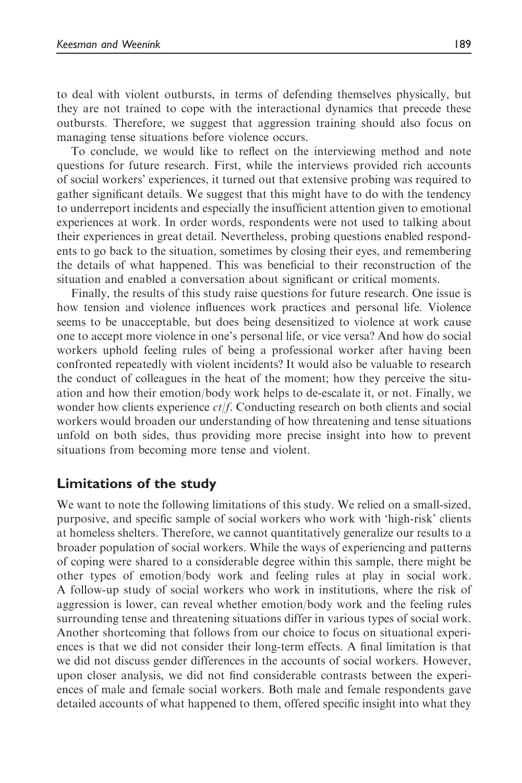to deal with violent outbursts, in terms of defending themselves physically, but they are not trained to cope with the interactional dynamics that precede these outbursts. Therefore, we suggest that aggression training should also focus on managing tense situations before violence occurs.

To conclude, we would like to reflect on the interviewing method and note questions for future research. First, while the interviews provided rich accounts of social workers' experiences, it turned out that extensive probing was required to gather significant details. We suggest that this might have to do with the tendency to underreport incidents and especially the insufficient attention given to emotional experiences at work. In order words, respondents were not used to talking about their experiences in great detail. Nevertheless, probing questions enabled respondents to go back to the situation, sometimes by closing their eyes, and remembering the details of what happened. This was beneficial to their reconstruction of the situation and enabled a conversation about significant or critical moments.

Finally, the results of this study raise questions for future research. One issue is how tension and violence influences work practices and personal life. Violence seems to be unacceptable, but does being desensitized to violence at work cause one to accept more violence in one's personal life, or vice versa? And how do social workers uphold feeling rules of being a professional worker after having been confronted repeatedly with violent incidents? It would also be valuable to research the conduct of colleagues in the heat of the moment; how they perceive the situation and how their emotion/body work helps to de-escalate it, or not. Finally, we wonder how clients experience  $ct/f$ . Conducting research on both clients and social workers would broaden our understanding of how threatening and tense situations unfold on both sides, thus providing more precise insight into how to prevent situations from becoming more tense and violent.

# Limitations of the study

We want to note the following limitations of this study. We relied on a small-sized, purposive, and specific sample of social workers who work with 'high-risk' clients at homeless shelters. Therefore, we cannot quantitatively generalize our results to a broader population of social workers. While the ways of experiencing and patterns of coping were shared to a considerable degree within this sample, there might be other types of emotion/body work and feeling rules at play in social work. A follow-up study of social workers who work in institutions, where the risk of aggression is lower, can reveal whether emotion/body work and the feeling rules surrounding tense and threatening situations differ in various types of social work. Another shortcoming that follows from our choice to focus on situational experiences is that we did not consider their long-term effects. A final limitation is that we did not discuss gender differences in the accounts of social workers. However, upon closer analysis, we did not find considerable contrasts between the experiences of male and female social workers. Both male and female respondents gave detailed accounts of what happened to them, offered specific insight into what they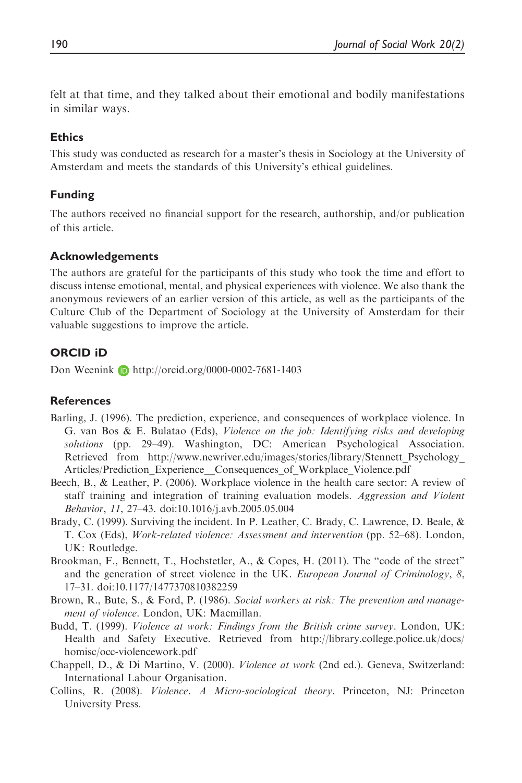felt at that time, and they talked about their emotional and bodily manifestations in similar ways.

# Ethics

This study was conducted as research for a master's thesis in Sociology at the University of Amsterdam and meets the standards of this University's ethical guidelines.

# Funding

The authors received no financial support for the research, authorship, and/or publication of this article.

# Acknowledgements

The authors are grateful for the participants of this study who took the time and effort to discuss intense emotional, mental, and physical experiences with violence. We also thank the anonymous reviewers of an earlier version of this article, as well as the participants of the Culture Club of the Department of Sociology at the University of Amsterdam for their valuable suggestions to improve the article.

# ORCID iD

Don Weenink **b** http://orcid.org/0000-0002-7681-1403

# References

- Barling, J. (1996). The prediction, experience, and consequences of workplace violence. In G. van Bos & E. Bulatao (Eds), Violence on the job: Identifying risks and developing solutions (pp. 29–49). Washington, DC: American Psychological Association. Retrieved from [http://www.newriver.edu/images/stories/library/Stennett\\_Psychology\\_](http://www.newriver.edu/images/stories/library/Stennett_Psychology_Articles/Prediction_Experience__Consequences_of_Workplace_Violence.pdf) Articles/Prediction\_Experience\_Consequences\_of\_Workplace\_Violence.pdf
- Beech, B., & Leather, P. (2006). Workplace violence in the health care sector: A review of staff training and integration of training evaluation models. Aggression and Violent Behavior, 11, 27–43. doi:10.1016/j.avb.2005.05.004
- Brady, C. (1999). Surviving the incident. In P. Leather, C. Brady, C. Lawrence, D. Beale, & T. Cox (Eds), Work-related violence: Assessment and intervention (pp. 52–68). London, UK: Routledge.
- Brookman, F., Bennett, T., Hochstetler, A., & Copes, H. (2011). The "code of the street" and the generation of street violence in the UK. European Journal of Criminology,  $8$ , 17–31. doi:10.1177/1477370810382259
- Brown, R., Bute, S., & Ford, P. (1986). Social workers at risk: The prevention and management of violence. London, UK: Macmillan.
- Budd, T. (1999). *Violence at work: Findings from the British crime survey*. London, UK: Health and Safety Executive. Retrieved from [http://library.college.police.uk/docs/](http://library.college.police.uk/docs/homisc/occ-violencework.pdf) [homisc/occ-violencework.pdf](http://library.college.police.uk/docs/homisc/occ-violencework.pdf)
- Chappell, D., & Di Martino, V. (2000). Violence at work (2nd ed.). Geneva, Switzerland: International Labour Organisation.
- Collins, R. (2008). Violence. A Micro-sociological theory. Princeton, NJ: Princeton University Press.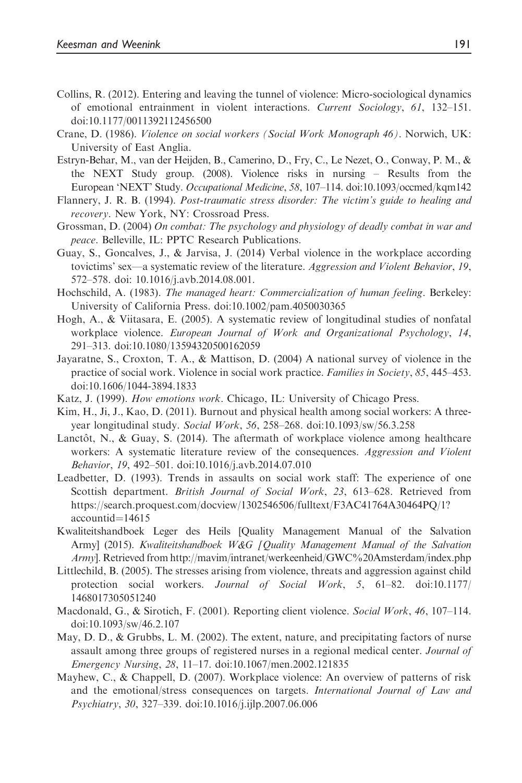- Collins, R. (2012). Entering and leaving the tunnel of violence: Micro-sociological dynamics of emotional entrainment in violent interactions. Current Sociology, 61, 132–151. doi:10.1177/0011392112456500
- Crane, D. (1986). Violence on social workers (Social Work Monograph 46). Norwich, UK: University of East Anglia.
- Estryn-Behar, M., van der Heijden, B., Camerino, D., Fry, C., Le Nezet, O., Conway, P. M., & the NEXT Study group. (2008). Violence risks in nursing – Results from the European 'NEXT' Study. Occupational Medicine, 58, 107–114. doi:10.1093/occmed/kqm142
- Flannery, J. R. B. (1994). Post-traumatic stress disorder: The victim's guide to healing and recovery. New York, NY: Crossroad Press.
- Grossman, D. (2004) On combat: The psychology and physiology of deadly combat in war and peace. Belleville, IL: PPTC Research Publications.
- Guay, S., Goncalves, J., & Jarvisa, J. (2014) Verbal violence in the workplace according tovictims' sex-a systematic review of the literature. Aggression and Violent Behavior, 19, 572–578. doi: 10.1016/j.avb.2014.08.001.
- Hochschild, A. (1983). The managed heart: Commercialization of human feeling. Berkeley: University of California Press. doi:10.1002/pam.4050030365
- Hogh, A., & Viitasara, E. (2005). A systematic review of longitudinal studies of nonfatal workplace violence. European Journal of Work and Organizational Psychology, 14, 291–313. doi:10.1080/13594320500162059
- Jayaratne, S., Croxton, T. A., & Mattison, D. (2004) A national survey of violence in the practice of social work. Violence in social work practice. Families in Society, 85, 445–453. doi:10.1606/1044-3894.1833
- Katz, J. (1999). How emotions work. Chicago, IL: University of Chicago Press.
- Kim, H., Ji, J., Kao, D. (2011). Burnout and physical health among social workers: A threeyear longitudinal study. Social Work, 56, 258–268. doi:10.1093/sw/56.3.258
- Lanctôt, N., & Guay, S. (2014). The aftermath of workplace violence among healthcare workers: A systematic literature review of the consequences. Aggression and Violent Behavior, 19, 492–501. doi:10.1016/j.avb.2014.07.010
- Leadbetter, D. (1993). Trends in assaults on social work staff: The experience of one Scottish department. British Journal of Social Work, 23, 613–628. Retrieved from [https://search.proquest.com/docview/1302546506/fulltext/F3AC41764A30464PQ/1?](https://search.proquest.com/docview/1302546506/fulltext/F3AC41764A30464PQ/1?accountid&hx003D;14615)  $accountid=14615$  $accountid=14615$  $accountid=14615$
- Kwaliteitshandboek Leger des Heils [Quality Management Manual of the Salvation Army] (2015). Kwaliteitshandboek W&G [Quality Management Manual of the Salvation Army]. Retrieved from [http://mavim/intranet/werkeenheid/GWC%20Amsterdam/index.php](http://mavim/intranet/werkeenheid/GWC&hx0025;20Amsterdam/index.php)
- Littlechild, B. (2005). The stresses arising from violence, threats and aggression against child protection social workers. Journal of Social Work, 5, 61–82. doi:10.1177/ 1468017305051240
- Macdonald, G., & Sirotich, F. (2001). Reporting client violence. Social Work, 46, 107–114. doi:10.1093/sw/46.2.107
- May, D. D., & Grubbs, L. M. (2002). The extent, nature, and precipitating factors of nurse assault among three groups of registered nurses in a regional medical center. Journal of Emergency Nursing, 28, 11–17. doi:10.1067/men.2002.121835
- Mayhew, C., & Chappell, D. (2007). Workplace violence: An overview of patterns of risk and the emotional/stress consequences on targets. International Journal of Law and Psychiatry, 30, 327–339. doi:10.1016/j.ijlp.2007.06.006